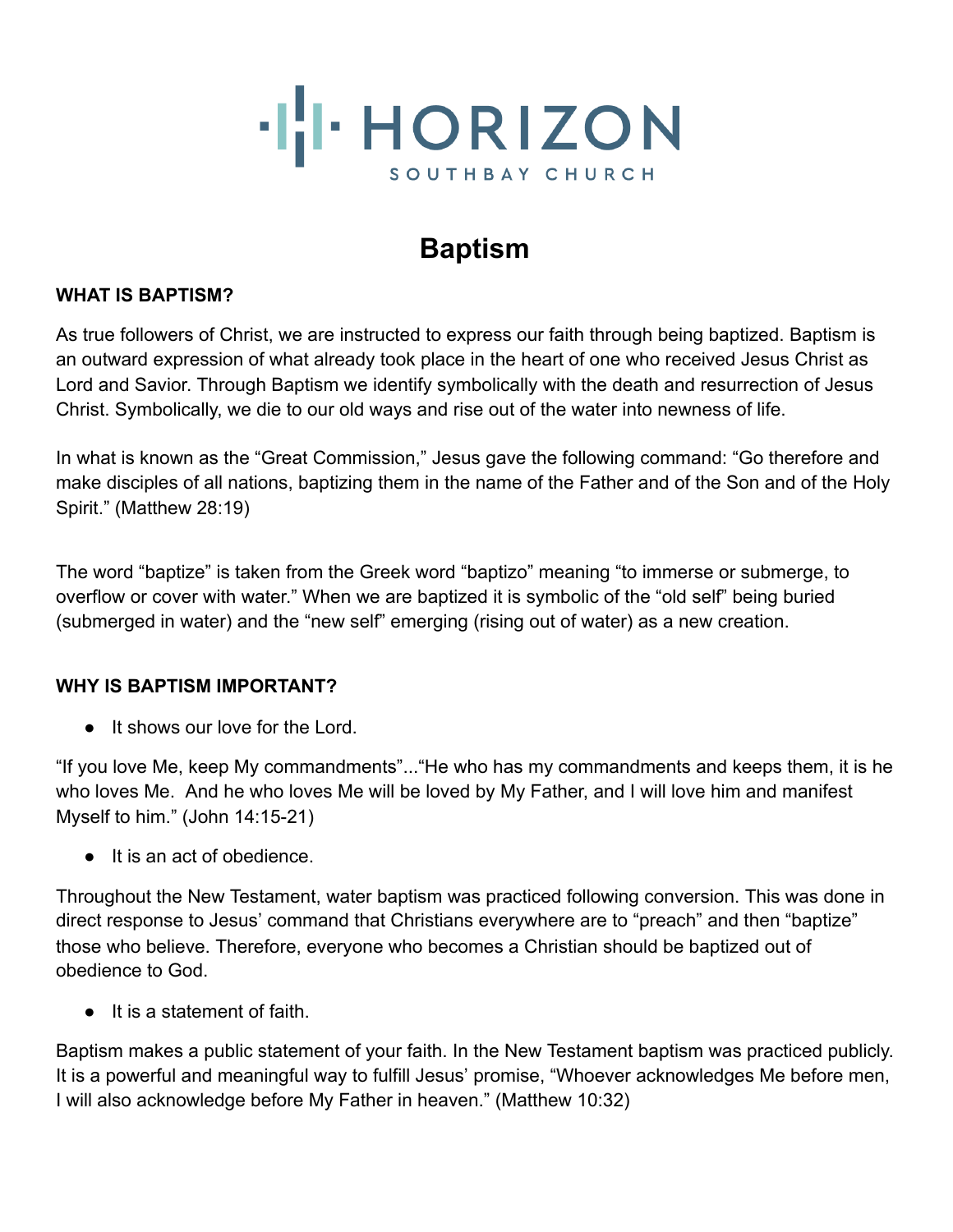

# **Baptism**

#### **WHAT IS BAPTISM?**

As true followers of Christ, we are instructed to express our faith through being baptized. Baptism is an outward expression of what already took place in the heart of one who received Jesus Christ as Lord and Savior. Through Baptism we identify symbolically with the death and resurrection of Jesus Christ. Symbolically, we die to our old ways and rise out of the water into newness of life.

In what is known as the "Great Commission," Jesus gave the following command: "Go therefore and make disciples of all nations, baptizing them in the name of the Father and of the Son and of the Holy Spirit." (Matthew 28:19)

The word "baptize" is taken from the Greek word "baptizo" meaning "to immerse or submerge, to overflow or cover with water." When we are baptized it is symbolic of the "old self" being buried (submerged in water) and the "new self" emerging (rising out of water) as a new creation.

## **WHY IS BAPTISM IMPORTANT?**

● It shows our love for the Lord.

"If you love Me, keep My commandments"..."He who has my commandments and keeps them, it is he who loves Me. And he who loves Me will be loved by My Father, and I will love him and manifest Myself to him." (John 14:15-21)

● It is an act of obedience.

Throughout the New Testament, water baptism was practiced following conversion. This was done in direct response to Jesus' command that Christians everywhere are to "preach" and then "baptize" those who believe. Therefore, everyone who becomes a Christian should be baptized out of obedience to God.

● It is a statement of faith.

Baptism makes a public statement of your faith. In the New Testament baptism was practiced publicly. It is a powerful and meaningful way to fulfill Jesus' promise, "Whoever acknowledges Me before men, I will also acknowledge before My Father in heaven." (Matthew 10:32)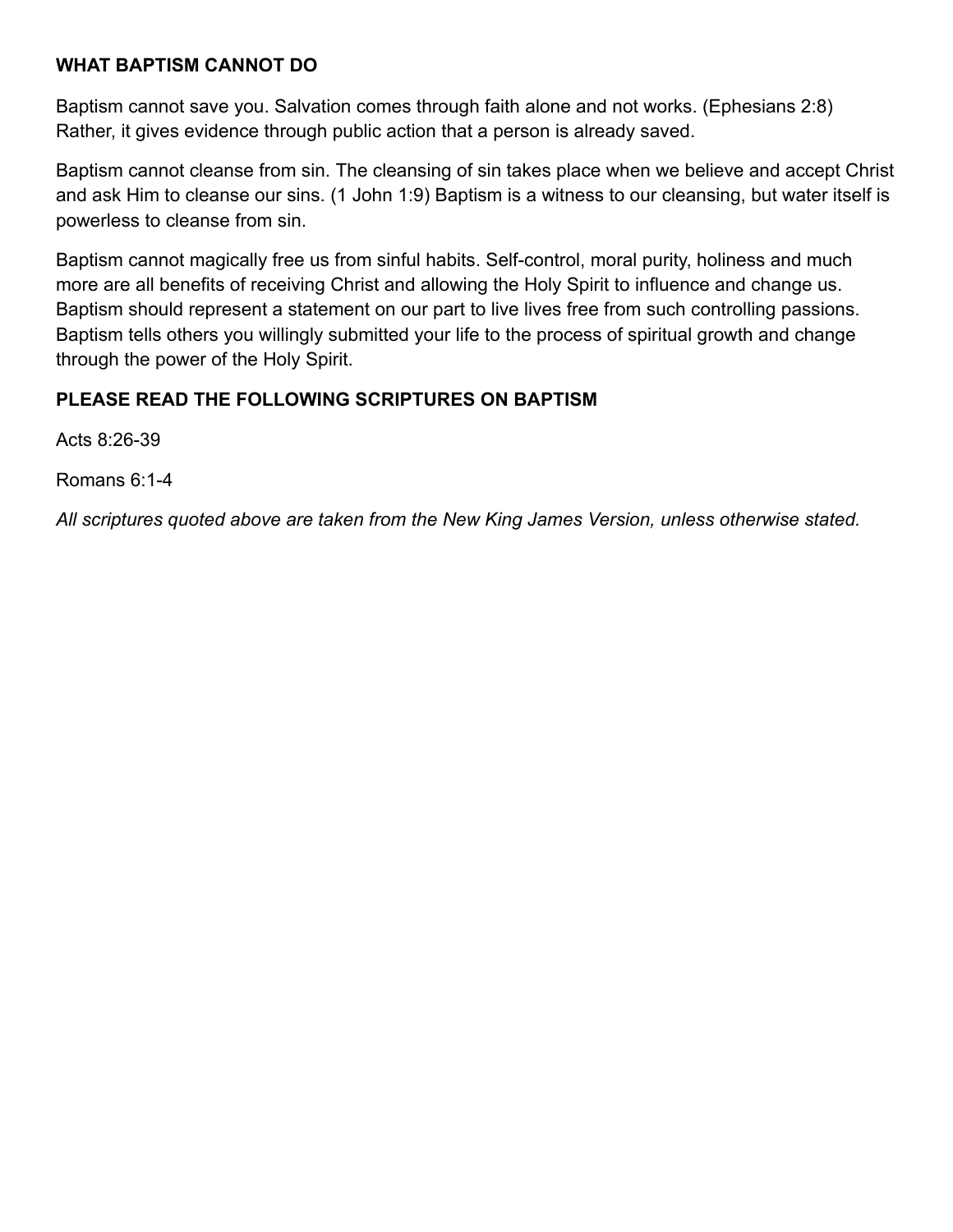#### **WHAT BAPTISM CANNOT DO**

Baptism cannot save you. Salvation comes through faith alone and not works. (Ephesians 2:8) Rather, it gives evidence through public action that a person is already saved.

Baptism cannot cleanse from sin. The cleansing of sin takes place when we believe and accept Christ and ask Him to cleanse our sins. (1 John 1:9) Baptism is a witness to our cleansing, but water itself is powerless to cleanse from sin.

Baptism cannot magically free us from sinful habits. Self-control, moral purity, holiness and much more are all benefits of receiving Christ and allowing the Holy Spirit to influence and change us. Baptism should represent a statement on our part to live lives free from such controlling passions. Baptism tells others you willingly submitted your life to the process of spiritual growth and change through the power of the Holy Spirit.

## **PLEASE READ THE FOLLOWING SCRIPTURES ON BAPTISM**

Acts 8:26-39

Romans 6:1-4

*All scriptures quoted above are taken from the New King James Version, unless otherwise stated.*